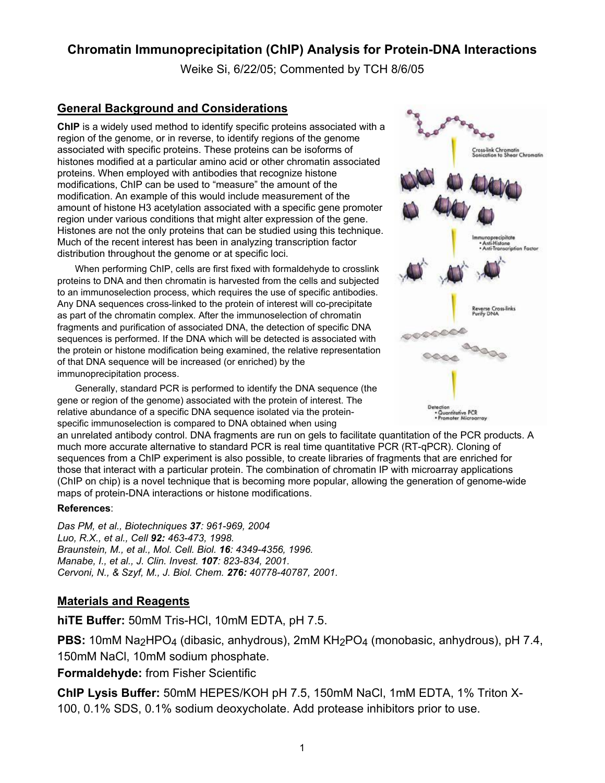## **Chromatin Immunoprecipitation (ChIP) Analysis for Protein-DNA Interactions**

Weike Si, 6/22/05; Commented by TCH 8/6/05

#### **General Background and Considerations**

**ChIP** is a widely used method to identify specific proteins associated with a region of the genome, or in reverse, to identify regions of the genome associated with specific proteins. These proteins can be isoforms of histones modified at a particular amino acid or other chromatin associated proteins. When employed with antibodies that recognize histone modifications, ChIP can be used to "measure" the amount of the modification. An example of this would include measurement of the amount of histone H3 acetylation associated with a specific gene promoter region under various conditions that might alter expression of the gene. Histones are not the only proteins that can be studied using this technique. Much of the recent interest has been in analyzing transcription factor distribution throughout the genome or at specific loci.

When performing ChIP, cells are first fixed with formaldehyde to crosslink proteins to DNA and then chromatin is harvested from the cells and subjected to an immunoselection process, which requires the use of specific antibodies. Any DNA sequences cross-linked to the protein of interest will co-precipitate as part of the chromatin complex. After the immunoselection of chromatin fragments and purification of associated DNA, the detection of specific DNA sequences is performed. If the DNA which will be detected is associated with the protein or histone modification being examined, the relative representation of that DNA sequence will be increased (or enriched) by the immunoprecipitation process.

Generally, standard PCR is performed to identify the DNA sequence (the gene or region of the genome) associated with the protein of interest. The relative abundance of a specific DNA sequence isolated via the proteinspecific immunoselection is compared to DNA obtained when using



an unrelated antibody control. DNA fragments are run on gels to facilitate quantitation of the PCR products. A much more accurate alternative to standard PCR is real time quantitative PCR (RT-qPCR). Cloning of sequences from a ChIP experiment is also possible, to create libraries of fragments that are enriched for those that interact with a particular protein. The combination of chromatin IP with microarray applications (ChIP on chip) is a novel technique that is becoming more popular, allowing the generation of genome-wide maps of protein-DNA interactions or histone modifications.

#### **References**:

*Das PM, et al., Biotechniques 37: 961-969, 2004 Luo, R.X., et al., Cell 92: 463-473, 1998. Braunstein, M., et al., Mol. Cell. Biol. 16: 4349-4356, 1996. Manabe, I., et al., J. Clin. Invest. 107: 823-834, 2001. Cervoni, N., & Szyf, M., J. Biol. Chem. 276: 40778-40787, 2001.* 

#### **Materials and Reagents**

**hiTE Buffer:** 50mM Tris-HCl, 10mM EDTA, pH 7.5.

**PBS:** 10mM Na<sub>2</sub>HPO<sub>4</sub> (dibasic, anhydrous), 2mM KH<sub>2</sub>PO<sub>4</sub> (monobasic, anhydrous), pH 7.4, 150mM NaCl, 10mM sodium phosphate.

**Formaldehyde:** from Fisher Scientific

**ChIP Lysis Buffer:** 50mM HEPES/KOH pH 7.5, 150mM NaCl, 1mM EDTA, 1% Triton X-100, 0.1% SDS, 0.1% sodium deoxycholate. Add protease inhibitors prior to use.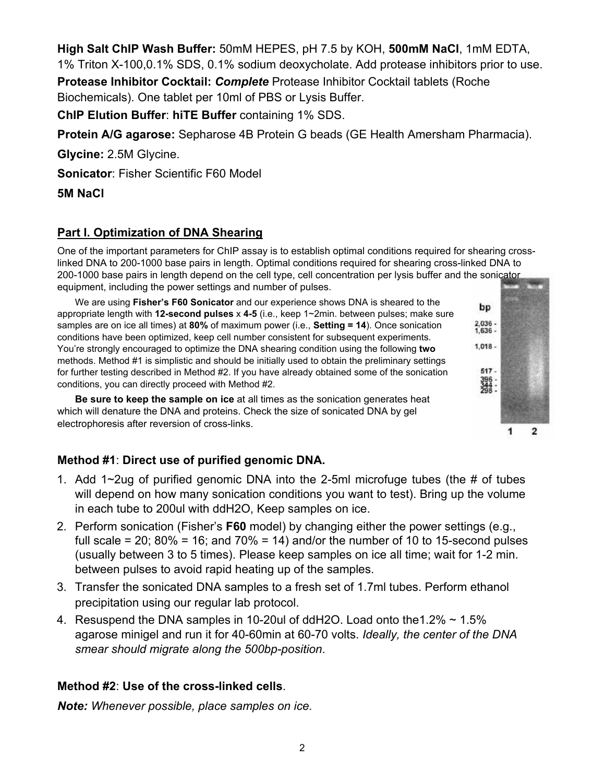2

**High Salt ChIP Wash Buffer:** 50mM HEPES, pH 7.5 by KOH, **500mM NaCl**, 1mM EDTA,

1% Triton X-100,0.1% SDS, 0.1% sodium deoxycholate. Add protease inhibitors prior to use.

**Protease Inhibitor Cocktail:** *Complete* Protease Inhibitor Cocktail tablets (Roche Biochemicals). One tablet per 10ml of PBS or Lysis Buffer.

**ChIP Elution Buffer**: **hiTE Buffer** containing 1% SDS.

**Protein A/G agarose:** Sepharose 4B Protein G beads (GE Health Amersham Pharmacia).

**Glycine:** 2.5M Glycine.

**Sonicator**: Fisher Scientific F60 Model

**5M NaCl** 

## **Part I. Optimization of DNA Shearing**

One of the important parameters for ChIP assay is to establish optimal conditions required for shearing crosslinked DNA to 200-1000 base pairs in length. Optimal conditions required for shearing cross-linked DNA to 200-1000 base pairs in length depend on the cell type, cell concentration per lysis buffer and the sonicator equipment, including the power settings and number of pulses.

We are using **Fisher's F60 Sonicator** and our experience shows DNA is sheared to the appropriate length with **12-second pulses** x **4-5** (i.e., keep 1~2min. between pulses; make sure samples are on ice all times) at **80%** of maximum power (i.e., **Setting = 14**). Once sonication conditions have been optimized, keep cell number consistent for subsequent experiments. You're strongly encouraged to optimize the DNA shearing condition using the following **two** methods. Method #1 is simplistic and should be initially used to obtain the preliminary settings for further testing described in Method #2. If you have already obtained some of the sonication conditions, you can directly proceed with Method #2.

**Be sure to keep the sample on ice** at all times as the sonication generates heat which will denature the DNA and proteins. Check the size of sonicated DNA by gel electrophoresis after reversion of cross-links.

# **Method #1**: **Direct use of purified genomic DNA.**

- 1. Add 1~2ug of purified genomic DNA into the 2-5ml microfuge tubes (the # of tubes will depend on how many sonication conditions you want to test). Bring up the volume in each tube to 200ul with ddH2O, Keep samples on ice.
- 2. Perform sonication (Fisher's **F60** model) by changing either the power settings (e.g., full scale = 20;  $80\%$  = 16; and  $70\%$  = 14) and/or the number of 10 to 15-second pulses (usually between 3 to 5 times). Please keep samples on ice all time; wait for 1-2 min. between pulses to avoid rapid heating up of the samples.
- 3. Transfer the sonicated DNA samples to a fresh set of 1.7ml tubes. Perform ethanol precipitation using our regular lab protocol.
- 4. Resuspend the DNA samples in 10-20ul of ddH2O. Load onto the1.2% ~ 1.5% agarose minigel and run it for 40-60min at 60-70 volts. *Ideally, the center of the DNA smear should migrate along the 500bp-position*.

### **Method #2**: **Use of the cross-linked cells**.

*Note: Whenever possible, place samples on ice.* 

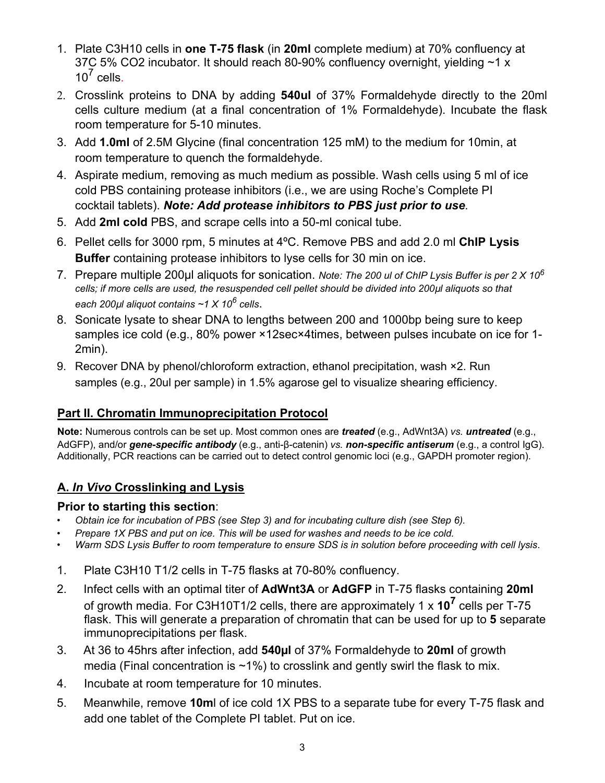- 1. Plate C3H10 cells in **one T-75 flask** (in **20ml** complete medium) at 70% confluency at 37C 5% CO2 incubator. It should reach 80-90% confluency overnight, yielding ~1 x  $10^7$  cells.
- 2. Crosslink proteins to DNA by adding **540ul** of 37% Formaldehyde directly to the 20ml cells culture medium (at a final concentration of 1% Formaldehyde). Incubate the flask room temperature for 5-10 minutes.
- 3. Add **1.0ml** of 2.5M Glycine (final concentration 125 mM) to the medium for 10min, at room temperature to quench the formaldehyde.
- 4. Aspirate medium, removing as much medium as possible. Wash cells using 5 ml of ice cold PBS containing protease inhibitors (i.e., we are using Roche's Complete PI cocktail tablets). *Note: Add protease inhibitors to PBS just prior to use*.
- 5. Add **2ml cold** PBS, and scrape cells into a 50-ml conical tube.
- 6. Pellet cells for 3000 rpm, 5 minutes at 4ºC. Remove PBS and add 2.0 ml **ChIP Lysis Buffer** containing protease inhibitors to lyse cells for 30 min on ice.
- 7. Prepare multiple 200µl aliquots for sonication. *Note: The 200 ul of ChIP Lysis Buffer is per 2 X 10<sup>6</sup> cells; if more cells are used, the resuspended cell pellet should be divided into 200µl aliquots so that each 200µl aliquot contains ~1 X 10<sup>6</sup> cells*.
- 8. Sonicate lysate to shear DNA to lengths between 200 and 1000bp being sure to keep samples ice cold (e.g., 80% power ×12sec×4times, between pulses incubate on ice for 1- 2min).
- 9. Recover DNA by phenol/chloroform extraction, ethanol precipitation, wash ×2. Run samples (e.g., 20ul per sample) in 1.5% agarose gel to visualize shearing efficiency.

## **Part II. Chromatin Immunoprecipitation Protocol**

**Note:** Numerous controls can be set up. Most common ones are *treated* (e.g., AdWnt3A) *vs. untreated* (e.g., AdGFP), and/or *gene-specific antibody* (e.g., anti-β-catenin) *vs. non-specific antiserum* (e.g., a control IgG). Additionally, PCR reactions can be carried out to detect control genomic loci (e.g., GAPDH promoter region).

## **A.** *In Vivo* **Crosslinking and Lysis**

#### **Prior to starting this section**:

- *Obtain ice for incubation of PBS (see Step 3) and for incubating culture dish (see Step 6).*
- *Prepare 1X PBS and put on ice. This will be used for washes and needs to be ice cold.*
- *Warm SDS Lysis Buffer to room temperature to ensure SDS is in solution before proceeding with cell lysis*.
- 1. Plate C3H10 T1/2 cells in T-75 flasks at 70-80% confluency.
- 2. Infect cells with an optimal titer of **AdWnt3A** or **AdGFP** in T-75 flasks containing **20ml** of growth media. For C3H10T1/2 cells, there are approximately 1 x **107** cells per T-75 flask. This will generate a preparation of chromatin that can be used for up to **5** separate immunoprecipitations per flask.
- 3. At 36 to 45hrs after infection, add **540µl** of 37% Formaldehyde to **20ml** of growth media (Final concentration is  $~1\%$ ) to crosslink and gently swirl the flask to mix.
- 4. Incubate at room temperature for 10 minutes.
- 5. Meanwhile, remove **10m**l of ice cold 1X PBS to a separate tube for every T-75 flask and add one tablet of the Complete PI tablet. Put on ice.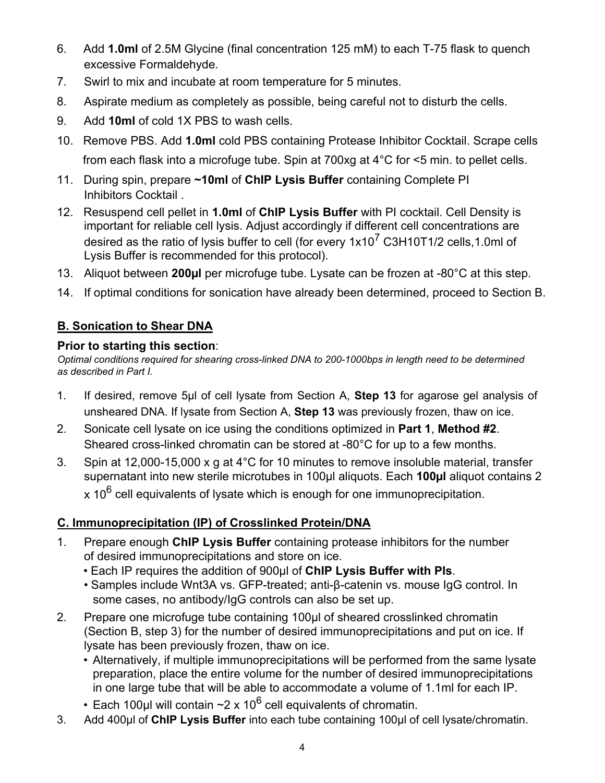- 6. Add **1.0ml** of 2.5M Glycine (final concentration 125 mM) to each T-75 flask to quench excessive Formaldehyde.
- 7. Swirl to mix and incubate at room temperature for 5 minutes.
- 8. Aspirate medium as completely as possible, being careful not to disturb the cells.
- 9. Add **10ml** of cold 1X PBS to wash cells.
- 10. Remove PBS. Add **1.0ml** cold PBS containing Protease Inhibitor Cocktail. Scrape cells from each flask into a microfuge tube. Spin at 700xg at 4°C for <5 min. to pellet cells.
- 11. During spin, prepare **~10ml** of **ChIP Lysis Buffer** containing Complete PI Inhibitors Cocktail .
- 12. Resuspend cell pellet in **1.0ml** of **ChIP Lysis Buffer** with PI cocktail. Cell Density is important for reliable cell lysis. Adjust accordingly if different cell concentrations are desired as the ratio of lysis buffer to cell (for every  $1x10^7$  C3H10T1/2 cells, 1.0ml of Lysis Buffer is recommended for this protocol).
- 13. Aliquot between **200µl** per microfuge tube. Lysate can be frozen at -80°C at this step.
- 14. If optimal conditions for sonication have already been determined, proceed to Section B.

# **B. Sonication to Shear DNA**

### **Prior to starting this section**:

*Optimal conditions required for shearing cross-linked DNA to 200-1000bps in length need to be determined as described in Part I.* 

- 1. If desired, remove 5µl of cell lysate from Section A, **Step 13** for agarose gel analysis of unsheared DNA. If lysate from Section A, **Step 13** was previously frozen, thaw on ice.
- 2. Sonicate cell lysate on ice using the conditions optimized in **Part 1**, **Method #2**. Sheared cross-linked chromatin can be stored at -80°C for up to a few months.
- 3. Spin at 12,000-15,000 x g at 4°C for 10 minutes to remove insoluble material, transfer supernatant into new sterile microtubes in 100µl aliquots. Each **100µl** aliquot contains 2  $x 10^6$  cell equivalents of lysate which is enough for one immunoprecipitation.

# **C. Immunoprecipitation (IP) of Crosslinked Protein/DNA**

- 1. Prepare enough **ChIP Lysis Buffer** containing protease inhibitors for the number of desired immunoprecipitations and store on ice.
	- Each IP requires the addition of 900µl of **ChIP Lysis Buffer with PIs**.
	- Samples include Wnt3A vs. GFP-treated; anti-β-catenin vs. mouse IgG control. In some cases, no antibody/IgG controls can also be set up.
- 2. Prepare one microfuge tube containing 100µl of sheared crosslinked chromatin (Section B, step 3) for the number of desired immunoprecipitations and put on ice. If lysate has been previously frozen, thaw on ice.
	- Alternatively, if multiple immunoprecipitations will be performed from the same lysate preparation, place the entire volume for the number of desired immunoprecipitations in one large tube that will be able to accommodate a volume of 1.1ml for each IP.
	- Each 100µl will contain  $\sim$ 2 x 10<sup>6</sup> cell equivalents of chromatin.
- 3. Add 400µl of **ChIP Lysis Buffer** into each tube containing 100µl of cell lysate/chromatin.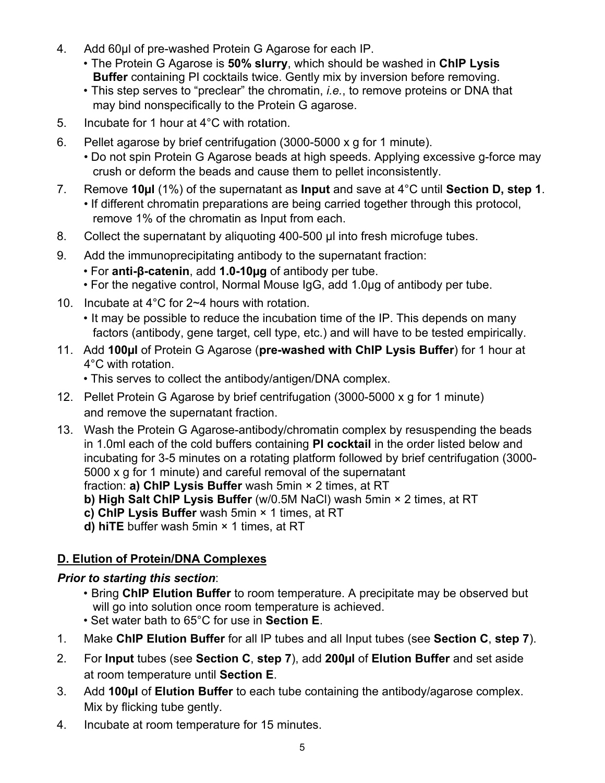- 4. Add 60µl of pre-washed Protein G Agarose for each IP.
	- The Protein G Agarose is **50% slurry**, which should be washed in **ChIP Lysis Buffer** containing PI cocktails twice. Gently mix by inversion before removing.
	- This step serves to "preclear" the chromatin, *i.e.*, to remove proteins or DNA that may bind nonspecifically to the Protein G agarose.
- 5. Incubate for 1 hour at 4°C with rotation.
- 6. Pellet agarose by brief centrifugation (3000-5000 x g for 1 minute).
	- Do not spin Protein G Agarose beads at high speeds. Applying excessive g-force may crush or deform the beads and cause them to pellet inconsistently.
- 7. Remove **10µl** (1%) of the supernatant as **Input** and save at 4°C until **Section D, step 1**. • If different chromatin preparations are being carried together through this protocol, remove 1% of the chromatin as Input from each.
- 8. Collect the supernatant by aliquoting 400-500 µl into fresh microfuge tubes.
- 9. Add the immunoprecipitating antibody to the supernatant fraction:
	- For **anti-β-catenin**, add **1.0-10µg** of antibody per tube.
	- For the negative control, Normal Mouse IgG, add 1.0µg of antibody per tube.
- 10. Incubate at 4°C for 2~4 hours with rotation.
	- It may be possible to reduce the incubation time of the IP. This depends on many factors (antibody, gene target, cell type, etc.) and will have to be tested empirically.
- 11. Add **100µl** of Protein G Agarose (**pre-washed with ChIP Lysis Buffer**) for 1 hour at 4°C with rotation.
	- This serves to collect the antibody/antigen/DNA complex.
- 12. Pellet Protein G Agarose by brief centrifugation (3000-5000 x g for 1 minute) and remove the supernatant fraction.
- 13. Wash the Protein G Agarose-antibody/chromatin complex by resuspending the beads in 1.0ml each of the cold buffers containing **PI cocktail** in the order listed below and incubating for 3-5 minutes on a rotating platform followed by brief centrifugation (3000- 5000 x g for 1 minute) and careful removal of the supernatant fraction: **a) ChIP Lysis Buffer** wash 5min × 2 times, at RT

**b) High Salt ChIP Lysis Buffer** (w/0.5M NaCl) wash 5min × 2 times, at RT

- **c) ChIP Lysis Buffer** wash 5min × 1 times, at RT
- **d) hiTE** buffer wash 5min × 1 times, at RT

# **D. Elution of Protein/DNA Complexes**

### *Prior to starting this section*:

- Bring **ChIP Elution Buffer** to room temperature. A precipitate may be observed but will go into solution once room temperature is achieved.
- Set water bath to 65°C for use in **Section E**.
- 1. Make **ChIP Elution Buffer** for all IP tubes and all Input tubes (see **Section C**, **step 7**).
- 2. For **Input** tubes (see **Section C**, **step 7**), add **200µl** of **Elution Buffer** and set aside at room temperature until **Section E**.
- 3. Add **100µl** of **Elution Buffer** to each tube containing the antibody/agarose complex. Mix by flicking tube gently.
- 4. Incubate at room temperature for 15 minutes.